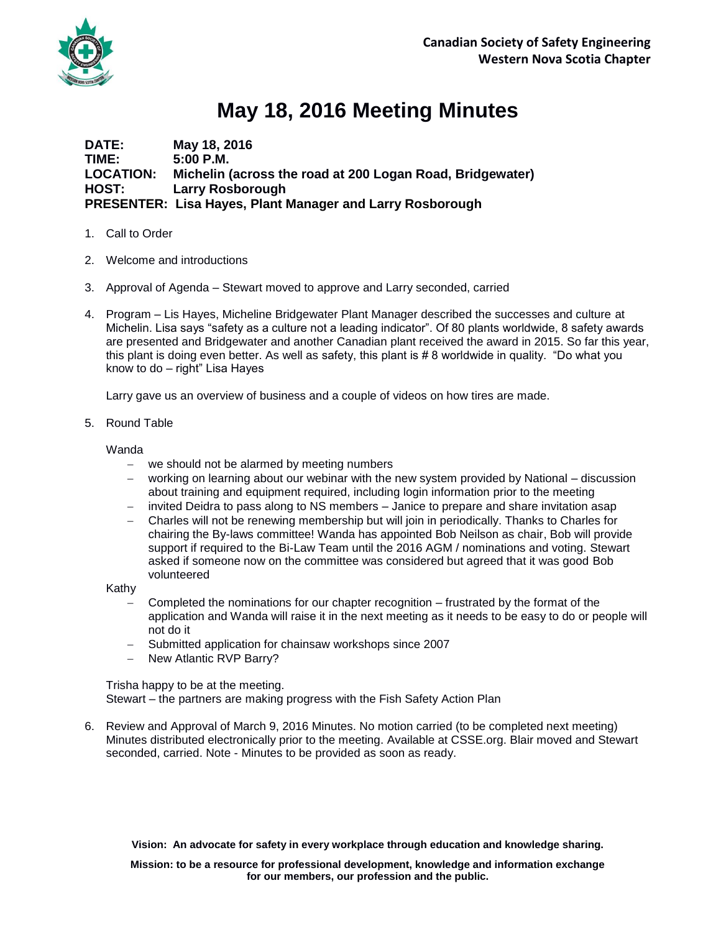

## **May 18, 2016 Meeting Minutes**

**DATE: May 18, 2016 TIME: 5:00 P.M. LOCATION: Michelin (across the road at 200 Logan Road, Bridgewater) HOST: Larry Rosborough PRESENTER: Lisa Hayes, Plant Manager and Larry Rosborough** 

- 1. Call to Order
- 2. Welcome and introductions
- 3. Approval of Agenda Stewart moved to approve and Larry seconded, carried
- 4. Program Lis Hayes, Micheline Bridgewater Plant Manager described the successes and culture at Michelin. Lisa says "safety as a culture not a leading indicator". Of 80 plants worldwide, 8 safety awards are presented and Bridgewater and another Canadian plant received the award in 2015. So far this year, this plant is doing even better. As well as safety, this plant is # 8 worldwide in quality. "Do what you know to do – right" Lisa Hayes

Larry gave us an overview of business and a couple of videos on how tires are made.

5. Round Table

Wanda

- we should not be alarmed by meeting numbers
- working on learning about our webinar with the new system provided by National discussion about training and equipment required, including login information prior to the meeting
- invited Deidra to pass along to NS members Janice to prepare and share invitation asap
- Charles will not be renewing membership but will join in periodically. Thanks to Charles for chairing the By-laws committee! Wanda has appointed Bob Neilson as chair, Bob will provide support if required to the Bi-Law Team until the 2016 AGM / nominations and voting. Stewart asked if someone now on the committee was considered but agreed that it was good Bob volunteered

Kathy

- Completed the nominations for our chapter recognition frustrated by the format of the application and Wanda will raise it in the next meeting as it needs to be easy to do or people will not do it
- Submitted application for chainsaw workshops since 2007
- New Atlantic RVP Barry?

Trisha happy to be at the meeting. Stewart – the partners are making progress with the Fish Safety Action Plan

6. Review and Approval of March 9, 2016 Minutes. No motion carried (to be completed next meeting) Minutes distributed electronically prior to the meeting. Available at CSSE.org. Blair moved and Stewart seconded, carried. Note - Minutes to be provided as soon as ready.

**Vision: An advocate for safety in every workplace through education and knowledge sharing.**

**Mission: to be a resource for professional development, knowledge and information exchange for our members, our profession and the public.**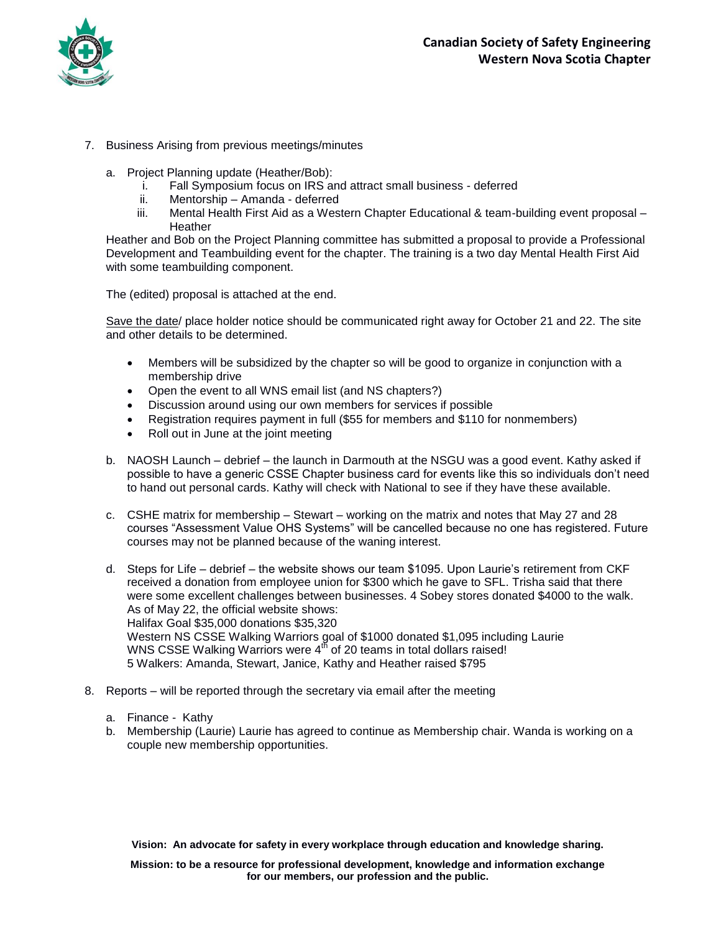

- 7. Business Arising from previous meetings/minutes
	- a. Project Planning update (Heather/Bob):
		- i. Fall Symposium focus on IRS and attract small business deferred
		- ii. Mentorship Amanda deferred
		- iii. Mental Health First Aid as a Western Chapter Educational & team-building event proposal -**Heather**

Heather and Bob on the Project Planning committee has submitted a proposal to provide a Professional Development and Teambuilding event for the chapter. The training is a two day Mental Health First Aid with some teambuilding component.

The (edited) proposal is attached at the end.

Save the date/ place holder notice should be communicated right away for October 21 and 22. The site and other details to be determined.

- Members will be subsidized by the chapter so will be good to organize in conjunction with a membership drive
- Open the event to all WNS email list (and NS chapters?)
- Discussion around using our own members for services if possible
- Registration requires payment in full (\$55 for members and \$110 for nonmembers)
- Roll out in June at the joint meeting
- b. NAOSH Launch debrief the launch in Darmouth at the NSGU was a good event. Kathy asked if possible to have a generic CSSE Chapter business card for events like this so individuals don't need to hand out personal cards. Kathy will check with National to see if they have these available.
- c. CSHE matrix for membership Stewart working on the matrix and notes that May 27 and 28 courses "Assessment Value OHS Systems" will be cancelled because no one has registered. Future courses may not be planned because of the waning interest.
- d. Steps for Life debrief the website shows our team \$1095. Upon Laurie's retirement from CKF received a donation from employee union for \$300 which he gave to SFL. Trisha said that there were some excellent challenges between businesses. 4 Sobey stores donated \$4000 to the walk. As of May 22, the official website shows: Halifax Goal \$35,000 donations \$35,320 Western NS CSSE Walking Warriors goal of \$1000 donated \$1,095 including Laurie WNS CSSE Walking Warriors were  $4<sup>th</sup>$  of 20 teams in total dollars raised! 5 Walkers: Amanda, Stewart, Janice, Kathy and Heather raised \$795
- 8. Reports will be reported through the secretary via email after the meeting
	- a. Finance Kathy
	- b. Membership (Laurie) Laurie has agreed to continue as Membership chair. Wanda is working on a couple new membership opportunities.

**Vision: An advocate for safety in every workplace through education and knowledge sharing.**

**Mission: to be a resource for professional development, knowledge and information exchange for our members, our profession and the public.**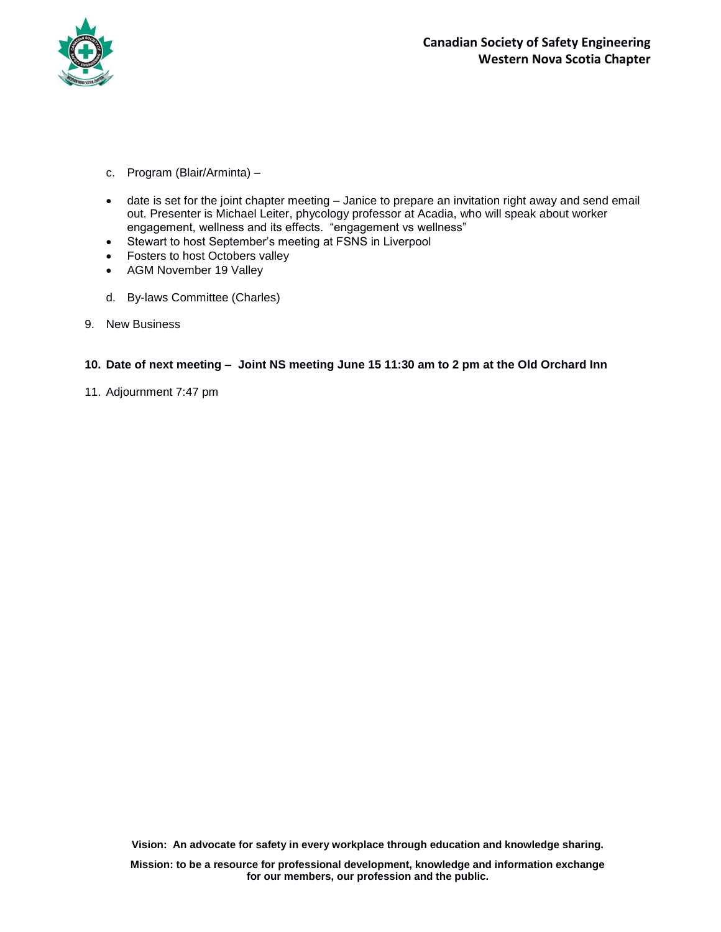

- c. Program (Blair/Arminta) –
- date is set for the joint chapter meeting Janice to prepare an invitation right away and send email out. Presenter is Michael Leiter, phycology professor at Acadia, who will speak about worker engagement, wellness and its effects. "engagement vs wellness"
- Stewart to host September's meeting at FSNS in Liverpool
- Fosters to host Octobers valley
- AGM November 19 Valley
- d. By-laws Committee (Charles)
- 9. New Business

## **10. Date of next meeting – Joint NS meeting June 15 11:30 am to 2 pm at the Old Orchard Inn**

11. Adjournment 7:47 pm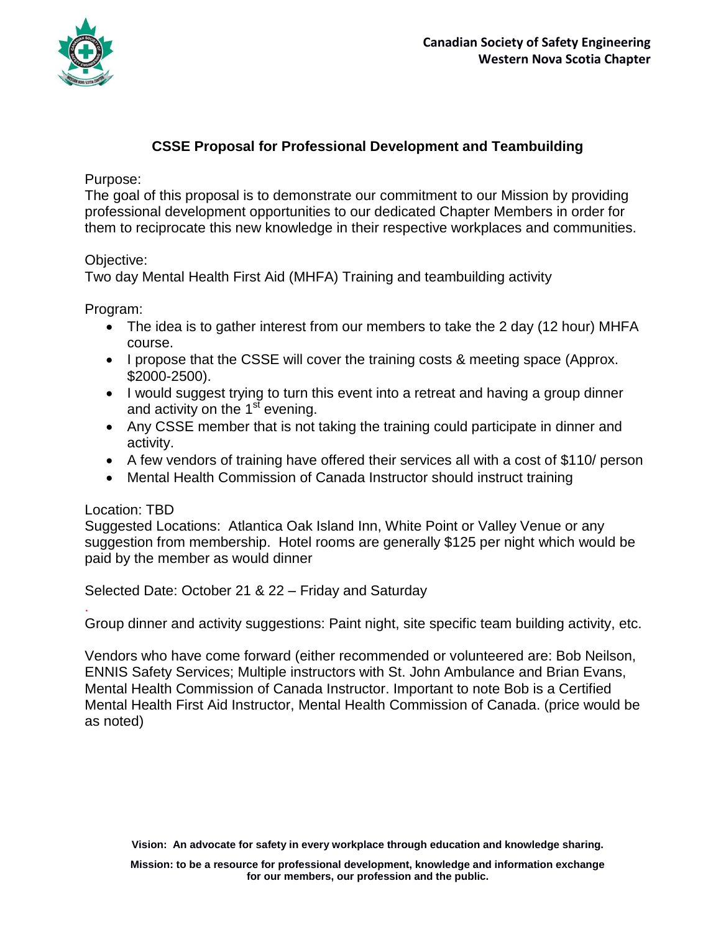

## **CSSE Proposal for Professional Development and Teambuilding**

Purpose:

The goal of this proposal is to demonstrate our commitment to our Mission by providing professional development opportunities to our dedicated Chapter Members in order for them to reciprocate this new knowledge in their respective workplaces and communities.

Objective:

Two day Mental Health First Aid (MHFA) Training and teambuilding activity

Program:

- The idea is to gather interest from our members to take the 2 day (12 hour) MHFA course.
- I propose that the CSSE will cover the training costs & meeting space (Approx. \$2000-2500).
- I would suggest trying to turn this event into a retreat and having a group dinner and activity on the  $1<sup>st</sup>$  evening.
- Any CSSE member that is not taking the training could participate in dinner and activity.
- A few vendors of training have offered their services all with a cost of \$110/ person
- Mental Health Commission of Canada Instructor should instruct training

## Location: TBD

.

Suggested Locations: Atlantica Oak Island Inn, White Point or Valley Venue or any suggestion from membership. Hotel rooms are generally \$125 per night which would be paid by the member as would dinner

Selected Date: October 21 & 22 – Friday and Saturday

Group dinner and activity suggestions: Paint night, site specific team building activity, etc.

Vendors who have come forward (either recommended or volunteered are: Bob Neilson, ENNIS Safety Services; Multiple instructors with St. John Ambulance and Brian Evans, Mental Health Commission of Canada Instructor. Important to note Bob is a Certified Mental Health First Aid Instructor, Mental Health Commission of Canada. (price would be as noted)